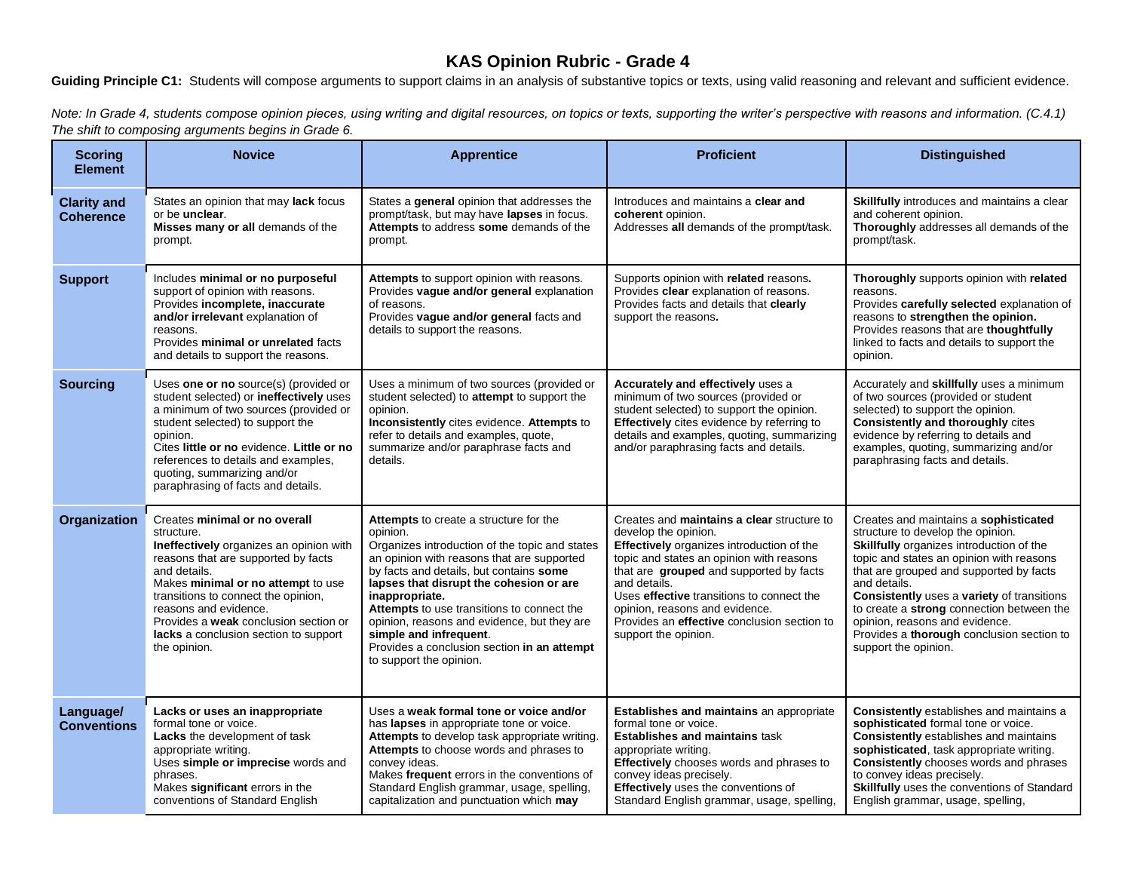## **KAS Opinion Rubric - Grade 4**

Guiding Principle C1: Students will compose arguments to support claims in an analysis of substantive topics or texts, using valid reasoning and relevant and sufficient evidence.

*Note: In Grade 4, students compose opinion pieces, using writing and digital resources, on topics or texts, supporting the writer's perspective with reasons and information. (C.4.1) Note: In Grade 4, students compose op The shift to composing arguments begins in Grade 6.*

| <b>Scoring</b><br><b>Element</b>       | <b>Novice</b>                                                                                                                                                                                                                                                                                                                                                | <b>Apprentice</b>                                                                                                                                                                                                                                                                                                                                                                                                                                           | <b>Proficient</b>                                                                                                                                                                                                                                                                                                                                                            | <b>Distinguished</b>                                                                                                                                                                                                                                                                                                                                                                                                            |
|----------------------------------------|--------------------------------------------------------------------------------------------------------------------------------------------------------------------------------------------------------------------------------------------------------------------------------------------------------------------------------------------------------------|-------------------------------------------------------------------------------------------------------------------------------------------------------------------------------------------------------------------------------------------------------------------------------------------------------------------------------------------------------------------------------------------------------------------------------------------------------------|------------------------------------------------------------------------------------------------------------------------------------------------------------------------------------------------------------------------------------------------------------------------------------------------------------------------------------------------------------------------------|---------------------------------------------------------------------------------------------------------------------------------------------------------------------------------------------------------------------------------------------------------------------------------------------------------------------------------------------------------------------------------------------------------------------------------|
| <b>Clarity and</b><br><b>Coherence</b> | States an opinion that may lack focus<br>or be <b>unclear</b> .<br>Misses many or all demands of the<br>prompt.                                                                                                                                                                                                                                              | States a general opinion that addresses the<br>prompt/task, but may have lapses in focus.<br>Attempts to address some demands of the<br>prompt.                                                                                                                                                                                                                                                                                                             | Introduces and maintains a clear and<br>coherent opinion.<br>Addresses all demands of the prompt/task.                                                                                                                                                                                                                                                                       | Skillfully introduces and maintains a clear<br>and coherent opinion.<br>Thoroughly addresses all demands of the<br>prompt/task.                                                                                                                                                                                                                                                                                                 |
| <b>Support</b>                         | Includes minimal or no purposeful<br>support of opinion with reasons.<br>Provides incomplete, inaccurate<br>and/or irrelevant explanation of<br>reasons.<br>Provides minimal or unrelated facts<br>and details to support the reasons.                                                                                                                       | Attempts to support opinion with reasons.<br>Provides vague and/or general explanation<br>of reasons.<br>Provides vague and/or general facts and<br>details to support the reasons.                                                                                                                                                                                                                                                                         | Supports opinion with related reasons.<br>Provides clear explanation of reasons.<br>Provides facts and details that clearly<br>support the reasons.                                                                                                                                                                                                                          | Thoroughly supports opinion with related<br>reasons.<br>Provides carefully selected explanation of<br>reasons to strengthen the opinion.<br>Provides reasons that are thoughtfully<br>linked to facts and details to support the<br>opinion.                                                                                                                                                                                    |
| <b>Sourcing</b>                        | Uses one or no source(s) (provided or<br>student selected) or ineffectively uses<br>a minimum of two sources (provided or<br>student selected) to support the<br>opinion.<br>Cites little or no evidence. Little or no<br>references to details and examples,<br>quoting, summarizing and/or<br>paraphrasing of facts and details.                           | Uses a minimum of two sources (provided or<br>student selected) to attempt to support the<br>opinion.<br>Inconsistently cites evidence. Attempts to<br>refer to details and examples, quote,<br>summarize and/or paraphrase facts and<br>details.                                                                                                                                                                                                           | <b>Accurately and effectively uses a</b><br>minimum of two sources (provided or<br>student selected) to support the opinion.<br>Effectively cites evidence by referring to<br>details and examples, quoting, summarizing<br>and/or paraphrasing facts and details.                                                                                                           | Accurately and skillfully uses a minimum<br>of two sources (provided or student<br>selected) to support the opinion.<br><b>Consistently and thoroughly cites</b><br>evidence by referring to details and<br>examples, quoting, summarizing and/or<br>paraphrasing facts and details.                                                                                                                                            |
| Organization                           | Creates minimal or no overall<br>structure.<br><b>Ineffectively</b> organizes an opinion with<br>reasons that are supported by facts<br>and details.<br>Makes minimal or no attempt to use<br>transitions to connect the opinion,<br>reasons and evidence.<br>Provides a weak conclusion section or<br>lacks a conclusion section to support<br>the opinion. | Attempts to create a structure for the<br>opinion.<br>Organizes introduction of the topic and states<br>an opinion with reasons that are supported<br>by facts and details, but contains some<br>lapses that disrupt the cohesion or are<br>inappropriate.<br>Attempts to use transitions to connect the<br>opinion, reasons and evidence, but they are<br>simple and infrequent.<br>Provides a conclusion section in an attempt<br>to support the opinion. | Creates and maintains a clear structure to<br>develop the opinion.<br>Effectively organizes introduction of the<br>topic and states an opinion with reasons<br>that are grouped and supported by facts<br>and details.<br>Uses effective transitions to connect the<br>opinion, reasons and evidence.<br>Provides an effective conclusion section to<br>support the opinion. | Creates and maintains a sophisticated<br>structure to develop the opinion.<br>Skillfully organizes introduction of the<br>topic and states an opinion with reasons<br>that are grouped and supported by facts<br>and details.<br>Consistently uses a variety of transitions<br>to create a strong connection between the<br>opinion, reasons and evidence.<br>Provides a thorough conclusion section to<br>support the opinion. |
| Language/<br><b>Conventions</b>        | Lacks or uses an inappropriate<br>formal tone or voice.<br><b>Lacks</b> the development of task<br>appropriate writing.<br>Uses simple or imprecise words and<br>phrases.<br>Makes significant errors in the<br>conventions of Standard English                                                                                                              | Uses a weak formal tone or voice and/or<br>has lapses in appropriate tone or voice.<br>Attempts to develop task appropriate writing.<br>Attempts to choose words and phrases to<br>convey ideas.<br>Makes frequent errors in the conventions of<br>Standard English grammar, usage, spelling,<br>capitalization and punctuation which may                                                                                                                   | <b>Establishes and maintains</b> an appropriate<br>formal tone or voice.<br><b>Establishes and maintains task</b><br>appropriate writing.<br>Effectively chooses words and phrases to<br>convey ideas precisely.<br><b>Effectively</b> uses the conventions of<br>Standard English grammar, usage, spelling,                                                                 | <b>Consistently</b> establishes and maintains a<br>sophisticated formal tone or voice.<br><b>Consistently</b> establishes and maintains<br>sophisticated, task appropriate writing.<br><b>Consistently</b> chooses words and phrases<br>to convey ideas precisely.<br><b>Skillfully</b> uses the conventions of Standard<br>English grammar, usage, spelling,                                                                   |